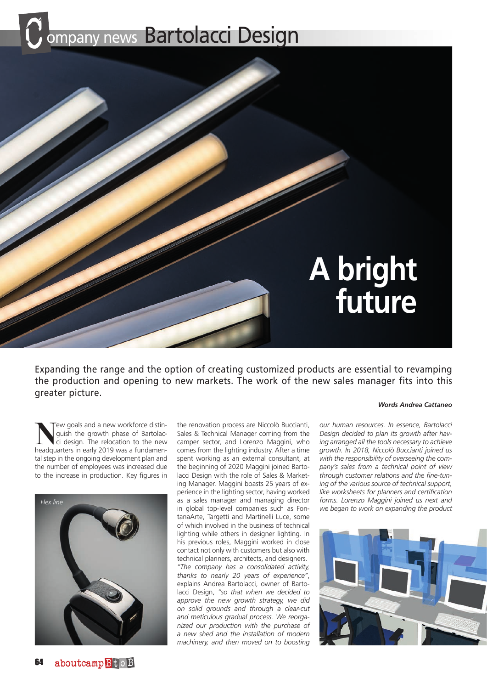# ompany news Bartolacci Design



Expanding the range and the option of creating customized products are essential to revamping the production and opening to new markets. The work of the new sales manager fits into this greater picture.

**New goals and a new workforce distinguish the growth phase of Bartolac-<br>ci design. The relocation to the new<br>headquarters in early 2019 was a fundamen**guish the growth phase of Bartolacheadquarters in early 2019 was a fundamental step in the ongoing development plan and the number of employees was increased due to the increase in production. Key figures in



the renovation process are Niccolò Buccianti, Sales & Technical Manager coming from the camper sector, and Lorenzo Maggini, who comes from the lighting industry. After a time spent working as an external consultant, at the beginning of 2020 Maggini joined Bartolacci Design with the role of Sales & Marketing Manager. Maggini boasts 25 years of experience in the lighting sector, having worked as a sales manager and managing director in global top-level companies such as FontanaArte, Targetti and Martinelli Luce, some of which involved in the business of technical lighting while others in designer lighting. In his previous roles, Maggini worked in close contact not only with customers but also with technical planners, architects, and designers. *"The company has a consolidated activity, thanks to nearly 20 years of experience"*, explains Andrea Bartolacci, owner of Bartolacci Design, *"so that when we decided to approve the new growth strategy, we did on solid grounds and through a clear-cut and meticulous gradual process. We reorganized our production with the purchase of a new shed and the installation of modern machinery, and then moved on to boosting* 

#### *Words Andrea Cattaneo*

*our human resources. In essence, Bartolacci Design decided to plan its growth after having arranged all the tools necessary to achieve growth. In 2018, Niccolò Buccianti joined us with the responsibility of overseeing the company's sales from a technical point of view through customer relations and the fine-tuning of the various source of technical support, like worksheets for planners and certification forms. Lorenzo Maggini joined us next and we began to work on expanding the product*